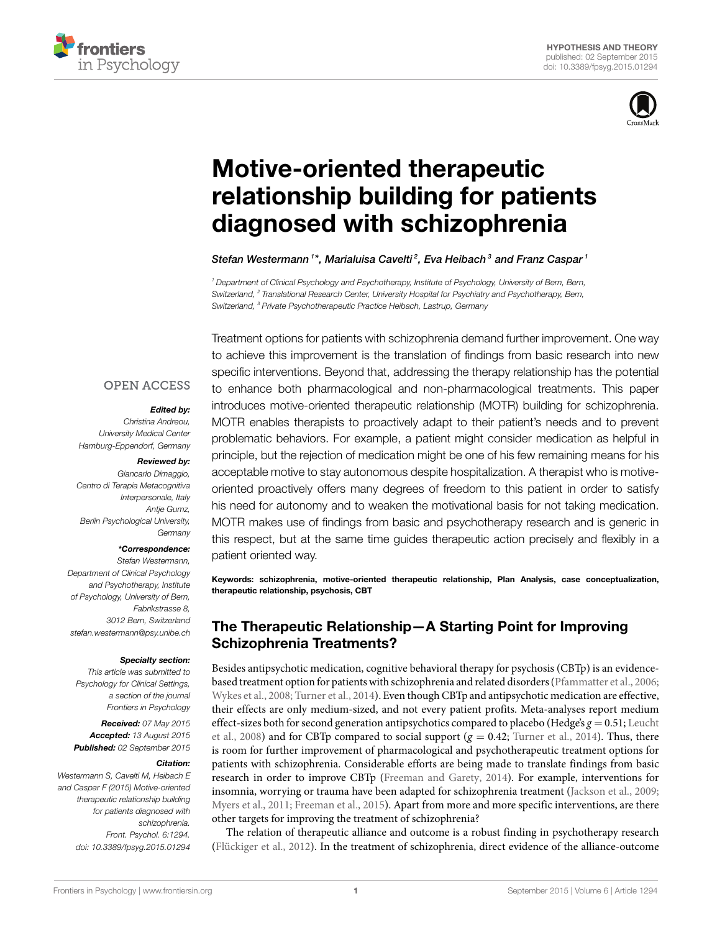



# **[Motive-oriented therapeutic](http://journal.frontiersin.org/article/10.3389/fpsyg.2015.01294/abstract) [relationship building for patients](http://journal.frontiersin.org/article/10.3389/fpsyg.2015.01294/abstract) [diagnosed with schizophrenia](http://journal.frontiersin.org/article/10.3389/fpsyg.2015.01294/abstract)**

*[Stefan Westermann](http://loop.frontiersin.org/people/81641) <sup>1</sup> \*, [Marialuisa Cavelti](http://loop.frontiersin.org/people/238537) <sup>2</sup> , [Eva Heibach](http://loop.frontiersin.org/people/266601) <sup>3</sup> and [Franz Caspar](http://loop.frontiersin.org/people/84601) <sup>1</sup>*

*<sup>1</sup> Department of Clinical Psychology and Psychotherapy, Institute of Psychology, University of Bern, Bern, Switzerland, <sup>2</sup> Translational Research Center, University Hospital for Psychiatry and Psychotherapy, Bern, Switzerland, <sup>3</sup> Private Psychotherapeutic Practice Heibach, Lastrup, Germany*

#### **OPEN ACCESS**

#### *Edited by:*

*Christina Andreou, University Medical Center Hamburg-Eppendorf, Germany*

#### *Reviewed by:*

*Giancarlo Dimaggio, Centro di Terapia Metacognitiva Interpersonale, Italy Antje Gumz, Berlin Psychological University, Germany*

#### *\*Correspondence:*

*Stefan Westermann, Department of Clinical Psychology and Psychotherapy, Institute of Psychology, University of Bern, Fabrikstrasse 8, 3012 Bern, Switzerland [stefan.westermann@psy.unibe.ch](mailto:stefan.westermann@psy.unibe.ch)*

#### *Specialty section:*

*This article was submitted to Psychology for Clinical Settings, a section of the journal Frontiers in Psychology*

*Received: 07 May 2015 Accepted: 13 August 2015 Published: 02 September 2015*

#### *Citation:*

*Westermann S, Cavelti M, Heibach E and Caspar F (2015) Motive-oriented therapeutic relationship building for patients diagnosed with schizophrenia. Front. Psychol. 6:1294. [doi: 10.3389/fpsyg.2015.01294](http://dx.doi.org/10.3389/fpsyg.2015.01294)*

Treatment options for patients with schizophrenia demand further improvement. One way to achieve this improvement is the translation of findings from basic research into new specific interventions. Beyond that, addressing the therapy relationship has the potential to enhance both pharmacological and non-pharmacological treatments. This paper introduces motive-oriented therapeutic relationship (MOTR) building for schizophrenia. MOTR enables therapists to proactively adapt to their patient's needs and to prevent problematic behaviors. For example, a patient might consider medication as helpful in principle, but the rejection of medication might be one of his few remaining means for his acceptable motive to stay autonomous despite hospitalization. A therapist who is motiveoriented proactively offers many degrees of freedom to this patient in order to satisfy his need for autonomy and to weaken the motivational basis for not taking medication. MOTR makes use of findings from basic and psychotherapy research and is generic in this respect, but at the same time guides therapeutic action precisely and flexibly in a patient oriented way.

**Keywords: schizophrenia, motive-oriented therapeutic relationship, Plan Analysis, case conceptualization, therapeutic relationship, psychosis, CBT**

# **The Therapeutic Relationship—A Starting Point for Improving Schizophrenia Treatments?**

Besides antipsychotic medication, cognitive behavioral therapy for psychosis (CBTp) is an evidencebased treatment option for patients with schizophrenia and related disorders [\(Pfammatter et al.](#page-8-0), [2006](#page-8-0); [Wykes et al., 2008;](#page-8-1) [Turner et al.](#page-8-2), [2014](#page-8-2)). Even though CBTp and antipsychotic medication are effective, their effects are only medium-sized, and not every patient profits. Meta-analyses report medium effect-sizes both for second generation antipsychotics compared to placebo (Hedge's *g* = 0.51; [Leucht](#page-7-0) [et al., 2008\)](#page-7-0) and for CBTp compared to social support  $(g = 0.42;$  [Turner et al.](#page-8-2), [2014](#page-8-2)). Thus, there is room for further improvement of pharmacological and psychotherapeutic treatment options for patients with schizophrenia. Considerable efforts are being made to translate findings from basic research in order to improve CBTp [\(Freeman and Garety, 2014\)](#page-7-1). For example, interventions for insomnia, worrying or trauma have been adapted for schizophrenia treatment [\(Jackson et al.](#page-7-2), [2009](#page-7-2); [Myers et al.](#page-8-3), [2011](#page-8-3); [Freeman et al.](#page-7-3), [2015\)](#page-7-3). Apart from more and more specific interventions, are there other targets for improving the treatment of schizophrenia?

The relation of therapeutic alliance and outcome is a robust finding in psychotherapy research [\(Flückiger et al., 2012\)](#page-7-4). In the treatment of schizophrenia, direct evidence of the alliance-outcome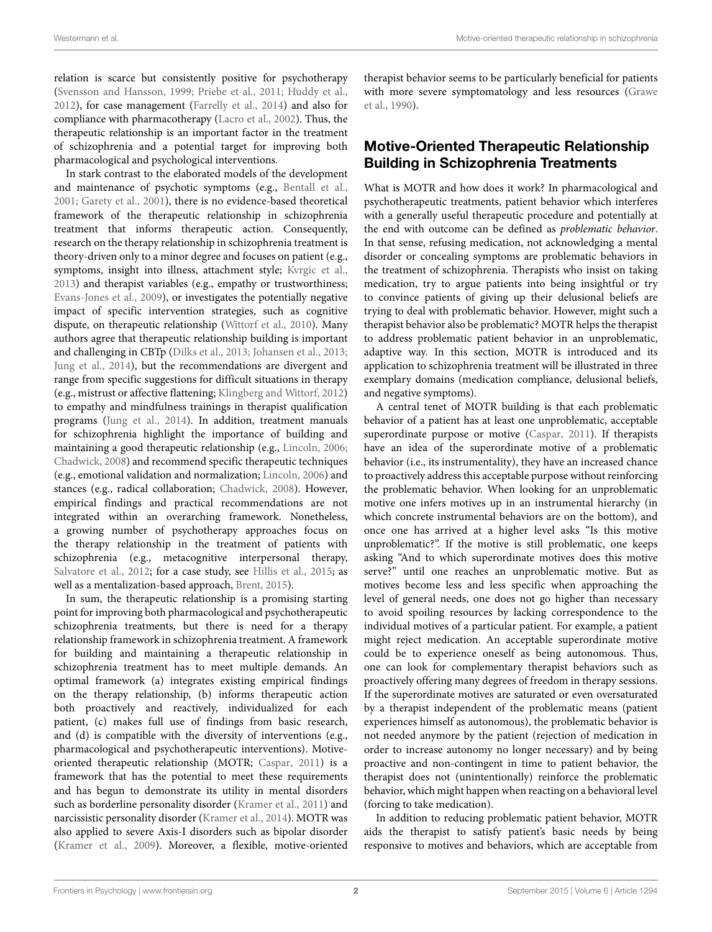relation is scarce but consistently positive for psychotherapy [\(Svensson and Hansson,](#page-8-4) [1999](#page-8-4); [Priebe et al.,](#page-8-5) [2011](#page-8-5); [Huddy et al.,](#page-7-5) [2012](#page-7-5)), for case management([Farrelly et al.](#page-7-6), [2014\)](#page-7-6) and also for compliance with pharmacotherapy([Lacro et al.,](#page-7-7) [2002](#page-7-7)). Thus, the therapeutic relationship is an important factor in the treatment of schizophrenia and a potential target for improving both pharmacological and psychological interventions.

In stark contrast to the elaborated models of the development and maintenance of psychotic symptoms (e.g., [Bentall et al.,](#page-7-8) [2001](#page-7-8); [Garety et al.,](#page-7-9) [2001\)](#page-7-9), there is no evidence-based theoretical framework of the therapeutic relationship in schizophrenia treatment that informs therapeutic action. Consequently, research on the therapy relationship in schizophrenia treatment is theory-driven only to a minor degree and focuses on patient (e.g., symptoms, insight into illness, attachment style; [Kvrgic et al.,](#page-7-10) [2013](#page-7-10)) and therapist variables (e.g., empathy or trustworthiness; [Evans-Jones et al.](#page-7-11), [2009\)](#page-7-11), or investigates the potentially negative impact of specific intervention strategies, such as cognitive dispute, on therapeutic relationship [\(Wittorf et al.](#page-8-6), [2010\)](#page-8-6). Many authors agree that therapeutic relationship building is important and challenging in CBTp [\(Dilks et al.,](#page-7-12) [2013](#page-7-12); [Johansen et al.](#page-7-13), [2013;](#page-7-13) [Jung et al.](#page-7-14), [2014](#page-7-14)), but the recommendations are divergent and range from specific suggestions for difficult situations in therapy (e.g., mistrust or affective flattening; [Klingberg and Wittorf](#page-7-15), [2012\)](#page-7-15) to empathy and mindfulness trainings in therapist qualification programs [\(Jung et al.](#page-7-14), [2014](#page-7-14)). In addition, treatment manuals for schizophrenia highlight the importance of building and maintaining a good therapeutic relationship (e.g., [Lincoln,](#page-7-16) [2006;](#page-7-16) [Chadwick](#page-7-17), [2008\)](#page-7-17) and recommend specific therapeutic techniques (e.g., emotional validation and normalization; [Lincoln,](#page-7-16) [2006](#page-7-16)) and stances (e.g., radical collaboration; [Chadwick,](#page-7-17) [2008\)](#page-7-17). However, empirical findings and practical recommendations are not integrated within an overarching framework. Nonetheless, a growing number of psychotherapy approaches focus on the therapy relationship in the treatment of patients with schizophrenia (e.g., metacognitive interpersonal therapy, [Salvatore et al.,](#page-8-7) [2012](#page-8-7); for a case study, see [Hillis et al.](#page-7-18), [2015;](#page-7-18) as well as a mentalization-based approach, [Brent,](#page-7-19) [2015](#page-7-19)).

In sum, the therapeutic relationship is a promising starting point for improving both pharmacological and psychotherapeutic schizophrenia treatments, but there is need for a therapy relationship framework in schizophrenia treatment. A framework for building and maintaining a therapeutic relationship in schizophrenia treatment has to meet multiple demands. An optimal framework (a) integrates existing empirical findings on the therapy relationship, (b) informs therapeutic action both proactively and reactively, individualized for each patient, (c) makes full use of findings from basic research, and (d) is compatible with the diversity of interventions (e.g., pharmacological and psychotherapeutic interventions). Motiveoriented therapeutic relationship (MOTR; [Caspar,](#page-7-20) [2011\)](#page-7-20) is a framework that has the potential to meet these requirements and has begun to demonstrate its utility in mental disorders such as borderline personality disorder([Kramer et al.](#page-7-21), [2011\)](#page-7-21) and narcissistic personality disorder [\(Kramer et al.](#page-7-22), [2014](#page-7-22)). MOTR was also applied to severe Axis-I disorders such as bipolar disorder [\(Kramer et al.](#page-7-23), [2009\)](#page-7-23). Moreover, a flexible, motive-oriented

therapist behavior seems to be particularly beneficial for patients with more severe symptomatology and less resources([Grawe](#page-7-24) [et al.](#page-7-24), [1990\)](#page-7-24).

# **Motive-Oriented Therapeutic Relationship Building in Schizophrenia Treatments**

What is MOTR and how does it work? In pharmacological and psychotherapeutic treatments, patient behavior which interferes with a generally useful therapeutic procedure and potentially at the end with outcome can be defined as *problematic behavior*. In that sense, refusing medication, not acknowledging a mental disorder or concealing symptoms are problematic behaviors in the treatment of schizophrenia. Therapists who insist on taking medication, try to argue patients into being insightful or try to convince patients of giving up their delusional beliefs are trying to deal with problematic behavior. However, might such a therapist behavior also be problematic? MOTR helps the therapist to address problematic patient behavior in an unproblematic, adaptive way. In this section, MOTR is introduced and its application to schizophrenia treatment will be illustrated in three exemplary domains (medication compliance, delusional beliefs, and negative symptoms).

A central tenet of MOTR building is that each problematic behavior of a patient has at least one unproblematic, acceptable superordinate purpose or motive([Caspar](#page-7-20), [2011\)](#page-7-20). If therapists have an idea of the superordinate motive of a problematic behavior (i.e., its instrumentality), they have an increased chance to proactively address this acceptable purpose without reinforcing the problematic behavior. When looking for an unproblematic motive one infers motives up in an instrumental hierarchy (in which concrete instrumental behaviors are on the bottom), and once one has arrived at a higher level asks "Is this motive unproblematic?". If the motive is still problematic, one keeps asking "And to which superordinate motives does this motive serve?" until one reaches an unproblematic motive. But as motives become less and less specific when approaching the level of general needs, one does not go higher than necessary to avoid spoiling resources by lacking correspondence to the individual motives of a particular patient. For example, a patient might reject medication. An acceptable superordinate motive could be to experience oneself as being autonomous. Thus, one can look for complementary therapist behaviors such as proactively offering many degrees of freedom in therapy sessions. If the superordinate motives are saturated or even oversaturated by a therapist independent of the problematic means (patient experiences himself as autonomous), the problematic behavior is not needed anymore by the patient (rejection of medication in order to increase autonomy no longer necessary) and by being proactive and non-contingent in time to patient behavior, the therapist does not (unintentionally) reinforce the problematic behavior, which might happen when reacting on a behavioral level (forcing to take medication).

In addition to reducing problematic patient behavior, MOTR aids the therapist to satisfy patient's basic needs by being responsive to motives and behaviors, which are acceptable from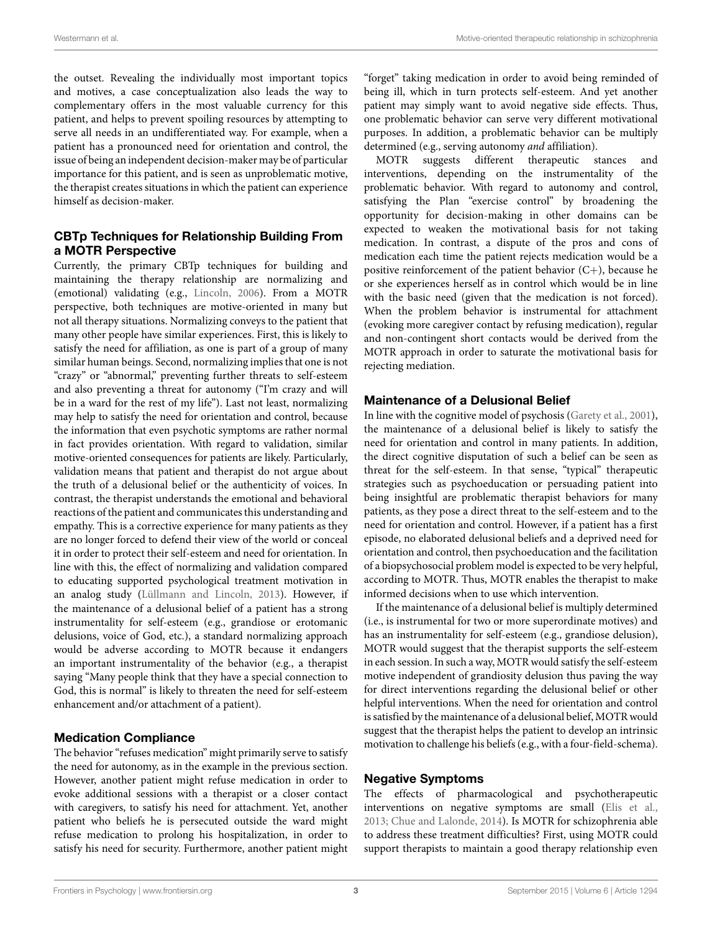the outset. Revealing the individually most important topics and motives, a case conceptualization also leads the way to complementary offers in the most valuable currency for this patient, and helps to prevent spoiling resources by attempting to serve all needs in an undifferentiated way. For example, when a patient has a pronounced need for orientation and control, the issue of being an independent decision-maker may be of particular importance for this patient, and is seen as unproblematic motive, the therapist creates situations in which the patient can experience himself as decision-maker.

## **CBTp Techniques for Relationship Building From a MOTR Perspective**

Currently, the primary CBTp techniques for building and maintaining the therapy relationship are normalizing and (emotional) validating (e.g., [Lincoln](#page-7-16), [2006](#page-7-16)). From a MOTR perspective, both techniques are motive-oriented in many but not all therapy situations. Normalizing conveys to the patient that many other people have similar experiences. First, this is likely to satisfy the need for affiliation, as one is part of a group of many similar human beings. Second, normalizing implies that one is not "crazy" or "abnormal," preventing further threats to self-esteem and also preventing a threat for autonomy ("I'm crazy and will be in a ward for the rest of my life"). Last not least, normalizing may help to satisfy the need for orientation and control, because the information that even psychotic symptoms are rather normal in fact provides orientation. With regard to validation, similar motive-oriented consequences for patients are likely. Particularly, validation means that patient and therapist do not argue about the truth of a delusional belief or the authenticity of voices. In contrast, the therapist understands the emotional and behavioral reactions of the patient and communicates this understanding and empathy. This is a corrective experience for many patients as they are no longer forced to defend their view of the world or conceal it in order to protect their self-esteem and need for orientation. In line with this, the effect of normalizing and validation compared to educating supported psychological treatment motivation in an analog study [\(Lüllmann and Lincoln,](#page-8-8) [2013](#page-8-8)). However, if the maintenance of a delusional belief of a patient has a strong instrumentality for self-esteem (e.g., grandiose or erotomanic delusions, voice of God, etc.), a standard normalizing approach would be adverse according to MOTR because it endangers an important instrumentality of the behavior (e.g., a therapist saying "Many people think that they have a special connection to God, this is normal" is likely to threaten the need for self-esteem enhancement and/or attachment of a patient).

#### **Medication Compliance**

The behavior "refuses medication" might primarily serve to satisfy the need for autonomy, as in the example in the previous section. However, another patient might refuse medication in order to evoke additional sessions with a therapist or a closer contact with caregivers, to satisfy his need for attachment. Yet, another patient who beliefs he is persecuted outside the ward might refuse medication to prolong his hospitalization, in order to satisfy his need for security. Furthermore, another patient might

"forget" taking medication in order to avoid being reminded of being ill, which in turn protects self-esteem. And yet another patient may simply want to avoid negative side effects. Thus, one problematic behavior can serve very different motivational purposes. In addition, a problematic behavior can be multiply determined (e.g., serving autonomy *and* affiliation).

MOTR suggests different therapeutic stances and interventions, depending on the instrumentality of the problematic behavior. With regard to autonomy and control, satisfying the Plan "exercise control" by broadening the opportunity for decision-making in other domains can be expected to weaken the motivational basis for not taking medication. In contrast, a dispute of the pros and cons of medication each time the patient rejects medication would be a positive reinforcement of the patient behavior  $(C+)$ , because he or she experiences herself as in control which would be in line with the basic need (given that the medication is not forced). When the problem behavior is instrumental for attachment (evoking more caregiver contact by refusing medication), regular and non-contingent short contacts would be derived from the MOTR approach in order to saturate the motivational basis for rejecting mediation.

#### **Maintenance of a Delusional Belief**

In line with the cognitive model of psychosis [\(Garety et al.](#page-7-9), [2001\)](#page-7-9), the maintenance of a delusional belief is likely to satisfy the need for orientation and control in many patients. In addition, the direct cognitive disputation of such a belief can be seen as threat for the self-esteem. In that sense, "typical" therapeutic strategies such as psychoeducation or persuading patient into being insightful are problematic therapist behaviors for many patients, as they pose a direct threat to the self-esteem and to the need for orientation and control. However, if a patient has a first episode, no elaborated delusional beliefs and a deprived need for orientation and control, then psychoeducation and the facilitation of a biopsychosocial problem model is expected to be very helpful, according to MOTR. Thus, MOTR enables the therapist to make informed decisions when to use which intervention.

If the maintenance of a delusional belief is multiply determined (i.e., is instrumental for two or more superordinate motives) and has an instrumentality for self-esteem (e.g., grandiose delusion), MOTR would suggest that the therapist supports the self-esteem in each session. In such a way, MOTR would satisfy the self-esteem motive independent of grandiosity delusion thus paving the way for direct interventions regarding the delusional belief or other helpful interventions. When the need for orientation and control is satisfied by the maintenance of a delusional belief, MOTR would suggest that the therapist helps the patient to develop an intrinsic motivation to challenge his beliefs (e.g., with a four-field-schema).

#### **Negative Symptoms**

The effects of pharmacological and psychotherapeutic interventions on negative symptoms are small [\(Elis et al.](#page-7-25), [2013;](#page-7-25) [Chue and Lalonde](#page-7-26), [2014\)](#page-7-26). Is MOTR for schizophrenia able to address these treatment difficulties? First, using MOTR could support therapists to maintain a good therapy relationship even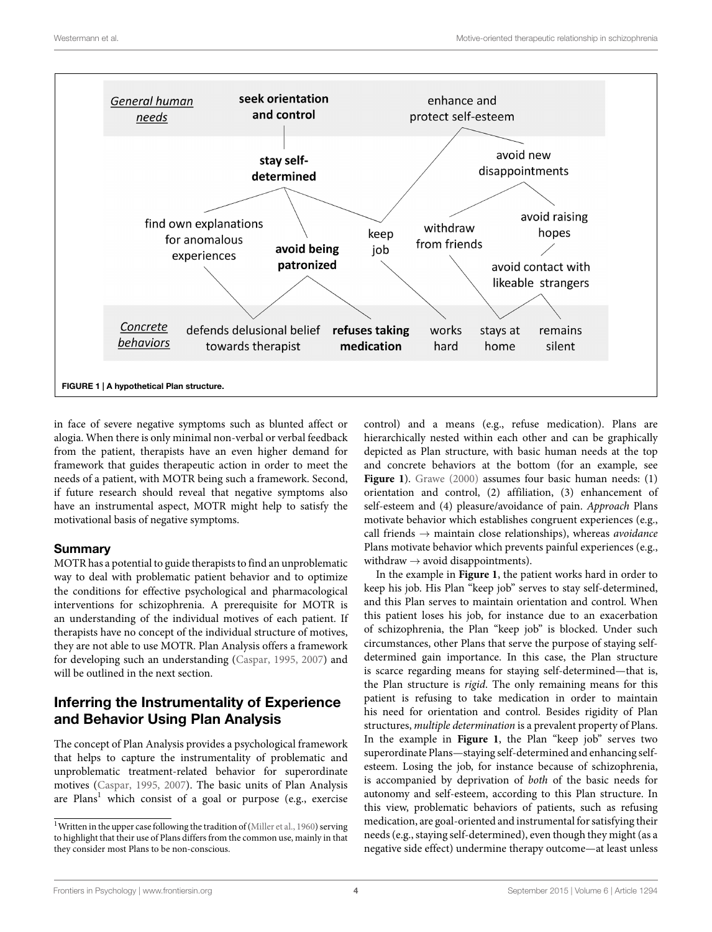

<span id="page-3-1"></span>in face of severe negative symptoms such as blunted affect or alogia. When there is only minimal non-verbal or verbal feedback from the patient, therapists have an even higher demand for framework that guides therapeutic action in order to meet the needs of a patient, with MOTR being such a framework. Second, if future research should reveal that negative symptoms also have an instrumental aspect, MOTR might help to satisfy the motivational basis of negative symptoms.

#### **Summary**

MOTR has a potential to guide therapists to find an unproblematic way to deal with problematic patient behavior and to optimize the conditions for effective psychological and pharmacological interventions for schizophrenia. A prerequisite for MOTR is an understanding of the individual motives of each patient. If therapists have no concept of the individual structure of motives, they are not able to use MOTR. Plan Analysis offers a framework for developing such an understanding [\(Caspar,](#page-7-27) [1995](#page-7-27), [2007](#page-7-28)) and will be outlined in the next section.

# **Inferring the Instrumentality of Experience and Behavior Using Plan Analysis**

The concept of Plan Analysis provides a psychological framework that helps to capture the instrumentality of problematic and unproblematic treatment-related behavior for superordinate motives [\(Caspar,](#page-7-27) [1995,](#page-7-27) [2007](#page-7-28)). The basic units of Plan Analysis are Plans<sup>[1](#page-3-0)</sup> which consist of a goal or purpose (e.g., exercise control) and a means (e.g., refuse medication). Plans are hierarchically nested within each other and can be graphically depicted as Plan structure, with basic human needs at the top and concrete behaviors at the bottom (for an example, see [Figure 1](#page-3-1)). [Grawe](#page-7-29) ([2000](#page-7-29)) assumes four basic human needs: (1) orientation and control, (2) affiliation, (3) enhancement of self-esteem and (4) pleasure/avoidance of pain. *Approach* Plans motivate behavior which establishes congruent experiences (e.g., call friends *→* maintain close relationships), whereas *avoidance* Plans motivate behavior which prevents painful experiences (e.g., withdraw *→* avoid disappointments).

In the example in **[Figure 1](#page-3-1)**, the patient works hard in order to keep his job. His Plan "keep job" serves to stay self-determined, and this Plan serves to maintain orientation and control. When this patient loses his job, for instance due to an exacerbation of schizophrenia, the Plan "keep job" is blocked. Under such circumstances, other Plans that serve the purpose of staying selfdetermined gain importance. In this case, the Plan structure is scarce regarding means for staying self-determined—that is, the Plan structure is *rigid*. The only remaining means for this patient is refusing to take medication in order to maintain his need for orientation and control. Besides rigidity of Plan structures, *multiple determination* is a prevalent property of Plans. In the example in **[Figure 1](#page-3-1)**, the Plan "keep job" serves two superordinate Plans—staying self-determined and enhancing selfesteem. Losing the job, for instance because of schizophrenia, is accompanied by deprivation of *both* of the basic needs for autonomy and self-esteem, according to this Plan structure. In this view, problematic behaviors of patients, such as refusing medication, are goal-oriented and instrumental for satisfying their needs (e.g., staying self-determined), even though they might (as a negative side effect) undermine therapy outcome—at least unless

<span id="page-3-0"></span><sup>&</sup>lt;sup>1</sup>Writtenin the upper case following the tradition of ([Miller et al.](#page-8-9), [1960](#page-8-9)) serving to highlight that their use of Plans differs from the common use, mainly in that they consider most Plans to be non-conscious.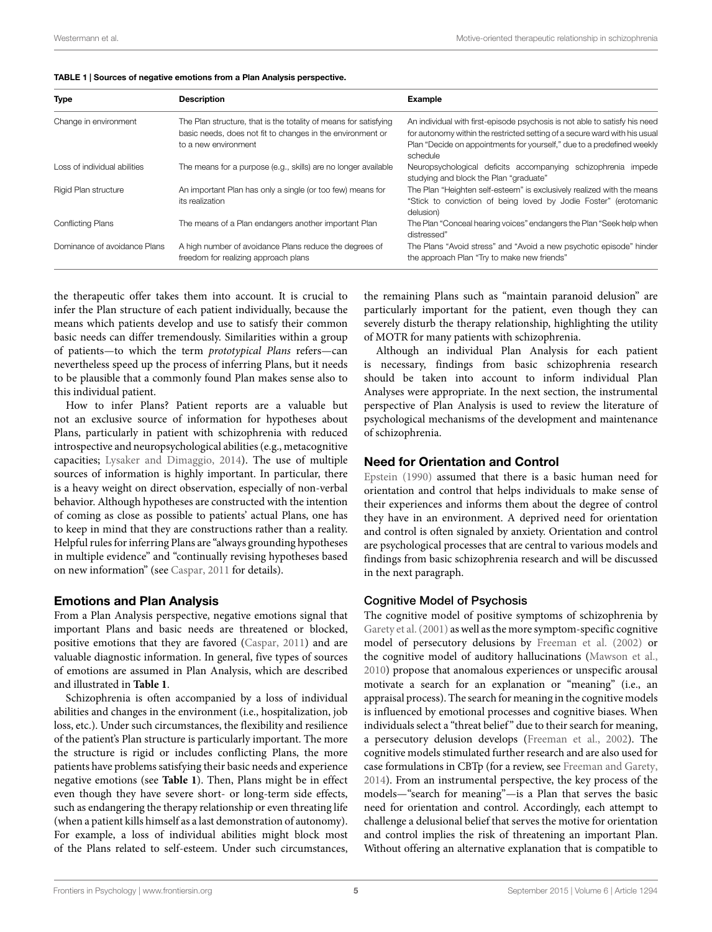| <b>Type</b>                  | <b>Description</b>                                                                                                                                     | <b>Example</b>                                                                                                                                                                                                                                 |
|------------------------------|--------------------------------------------------------------------------------------------------------------------------------------------------------|------------------------------------------------------------------------------------------------------------------------------------------------------------------------------------------------------------------------------------------------|
| Change in environment        | The Plan structure, that is the totality of means for satisfying<br>basic needs, does not fit to changes in the environment or<br>to a new environment | An individual with first-episode psychosis is not able to satisfy his need<br>for autonomy within the restricted setting of a secure ward with his usual<br>Plan "Decide on appointments for yourself," due to a predefined weekly<br>schedule |
| Loss of individual abilities | The means for a purpose (e.g., skills) are no longer available                                                                                         | Neuropsychological deficits accompanying schizophrenia impede<br>studying and block the Plan "graduate"                                                                                                                                        |
| Rigid Plan structure         | An important Plan has only a single (or too few) means for<br>its realization                                                                          | The Plan "Heighten self-esteem" is exclusively realized with the means<br>"Stick to conviction of being loved by Jodie Foster" (erotomanic<br>delusion)                                                                                        |
| <b>Conflicting Plans</b>     | The means of a Plan endangers another important Plan                                                                                                   | The Plan "Conceal hearing voices" endangers the Plan "Seek help when<br>distressed"                                                                                                                                                            |
| Dominance of avoidance Plans | A high number of avoidance Plans reduce the degrees of<br>freedom for realizing approach plans                                                         | The Plans "Avoid stress" and "Avoid a new psychotic episode" hinder<br>the approach Plan "Try to make new friends"                                                                                                                             |

<span id="page-4-0"></span>

the therapeutic offer takes them into account. It is crucial to infer the Plan structure of each patient individually, because the means which patients develop and use to satisfy their common basic needs can differ tremendously. Similarities within a group of patients—to which the term *prototypical Plans* refers—can nevertheless speed up the process of inferring Plans, but it needs to be plausible that a commonly found Plan makes sense also to this individual patient.

How to infer Plans? Patient reports are a valuable but not an exclusive source of information for hypotheses about Plans, particularly in patient with schizophrenia with reduced introspective and neuropsychological abilities (e.g., metacognitive capacities; [Lysaker and Dimaggio](#page-8-10), [2014\)](#page-8-10). The use of multiple sources of information is highly important. In particular, there is a heavy weight on direct observation, especially of non-verbal behavior. Although hypotheses are constructed with the intention of coming as close as possible to patients' actual Plans, one has to keep in mind that they are constructions rather than a reality. Helpful rules for inferring Plans are "always grounding hypotheses in multiple evidence" and "continually revising hypotheses based on new information" (see [Caspar,](#page-7-20) [2011](#page-7-20) for details).

## **Emotions and Plan Analysis**

From a Plan Analysis perspective, negative emotions signal that important Plans and basic needs are threatened or blocked, positive emotions that they are favored([Caspar](#page-7-20), [2011\)](#page-7-20) and are valuable diagnostic information. In general, five types of sources of emotions are assumed in Plan Analysis, which are described and illustrated in **[Table 1](#page-4-0)**.

Schizophrenia is often accompanied by a loss of individual abilities and changes in the environment (i.e., hospitalization, job loss, etc.). Under such circumstances, the flexibility and resilience of the patient's Plan structure is particularly important. The more the structure is rigid or includes conflicting Plans, the more patients have problems satisfying their basic needs and experience negative emotions (see **[Table 1](#page-4-0)**). Then, Plans might be in effect even though they have severe short- or long-term side effects, such as endangering the therapy relationship or even threating life (when a patient kills himself as a last demonstration of autonomy). For example, a loss of individual abilities might block most of the Plans related to self-esteem. Under such circumstances, the remaining Plans such as "maintain paranoid delusion" are particularly important for the patient, even though they can severely disturb the therapy relationship, highlighting the utility of MOTR for many patients with schizophrenia.

Although an individual Plan Analysis for each patient is necessary, findings from basic schizophrenia research should be taken into account to inform individual Plan Analyses were appropriate. In the next section, the instrumental perspective of Plan Analysis is used to review the literature of psychological mechanisms of the development and maintenance of schizophrenia.

## **Need for Orientation and Control**

[Epstein](#page-7-30) ([1990](#page-7-30)) assumed that there is a basic human need for orientation and control that helps individuals to make sense of their experiences and informs them about the degree of control they have in an environment. A deprived need for orientation and control is often signaled by anxiety. Orientation and control are psychological processes that are central to various models and findings from basic schizophrenia research and will be discussed in the next paragraph.

## Cognitive Model of Psychosis

The cognitive model of positive symptoms of schizophrenia by [Garety et al.](#page-7-9)([2001\)](#page-7-9) as well as the more symptom-specific cognitive model of persecutory delusions by [Freeman et al.](#page-7-31) ([2002\)](#page-7-31) or the cognitive model of auditory hallucinations [\(Mawson et al.](#page-8-11), [2010\)](#page-8-11) propose that anomalous experiences or unspecific arousal motivate a search for an explanation or "meaning" (i.e., an appraisal process). The search for meaning in the cognitive models is influenced by emotional processes and cognitive biases. When individuals select a "threat belief" due to their search for meaning, a persecutory delusion develops [\(Freeman et al.,](#page-7-31) [2002\)](#page-7-31). The cognitive models stimulated further research and are also used for case formulations in CBTp (for a review, see [Freeman and Garety](#page-7-1), [2014\)](#page-7-1). From an instrumental perspective, the key process of the models—"search for meaning"—is a Plan that serves the basic need for orientation and control. Accordingly, each attempt to challenge a delusional belief that serves the motive for orientation and control implies the risk of threatening an important Plan. Without offering an alternative explanation that is compatible to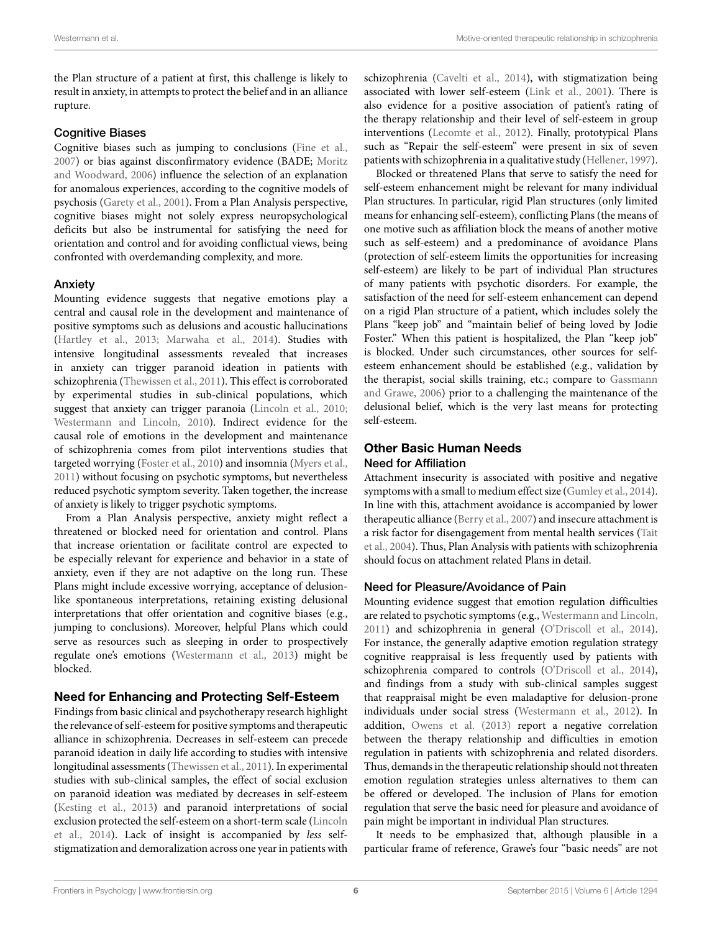the Plan structure of a patient at first, this challenge is likely to result in anxiety, in attempts to protect the belief and in an alliance rupture.

#### Cognitive Biases

Cognitive biases such as jumping to conclusions([Fine et al.,](#page-7-32) [2007](#page-7-32)) or bias against disconfirmatory evidence (BADE; [Moritz](#page-8-12) [and Woodward](#page-8-12), [2006\)](#page-8-12) influence the selection of an explanation for anomalous experiences, according to the cognitive models of psychosis([Garety et al.](#page-7-9), [2001](#page-7-9)). From a Plan Analysis perspective, cognitive biases might not solely express neuropsychological deficits but also be instrumental for satisfying the need for orientation and control and for avoiding conflictual views, being confronted with overdemanding complexity, and more.

#### Anxiety

Mounting evidence suggests that negative emotions play a central and causal role in the development and maintenance of positive symptoms such as delusions and acoustic hallucinations [\(Hartley et al.,](#page-7-33) [2013;](#page-7-33) [Marwaha et al.,](#page-8-13) [2014](#page-8-13)). Studies with intensive longitudinal assessments revealed that increases in anxiety can trigger paranoid ideation in patients with schizophrenia [\(Thewissen et al.,](#page-8-14) [2011\)](#page-8-14). This effect is corroborated by experimental studies in sub-clinical populations, which suggest that anxiety can trigger paranoia [\(Lincoln et al.,](#page-7-34) [2010;](#page-7-34) [Westermann and Lincoln,](#page-8-15) [2010](#page-8-15)). Indirect evidence for the causal role of emotions in the development and maintenance of schizophrenia comes from pilot interventions studies that targeted worrying [\(Foster et al.](#page-7-35), [2010](#page-7-35)) and insomnia([Myers et al.,](#page-8-3) [2011](#page-8-3)) without focusing on psychotic symptoms, but nevertheless reduced psychotic symptom severity. Taken together, the increase of anxiety is likely to trigger psychotic symptoms.

From a Plan Analysis perspective, anxiety might reflect a threatened or blocked need for orientation and control. Plans that increase orientation or facilitate control are expected to be especially relevant for experience and behavior in a state of anxiety, even if they are not adaptive on the long run. These Plans might include excessive worrying, acceptance of delusionlike spontaneous interpretations, retaining existing delusional interpretations that offer orientation and cognitive biases (e.g., jumping to conclusions). Moreover, helpful Plans which could serve as resources such as sleeping in order to prospectively regulate one's emotions([Westermann et al.,](#page-8-16) [2013](#page-8-16)) might be blocked.

## **Need for Enhancing and Protecting Self-Esteem**

Findings from basic clinical and psychotherapy research highlight the relevance of self-esteem for positive symptoms and therapeutic alliance in schizophrenia. Decreases in self-esteem can precede paranoid ideation in daily life according to studies with intensive longitudinal assessments([Thewissen et al.,](#page-8-14) [2011\)](#page-8-14). In experimental studies with sub-clinical samples, the effect of social exclusion on paranoid ideation was mediated by decreases in self-esteem [\(Kesting et al.,](#page-7-36) [2013](#page-7-36)) and paranoid interpretations of social exclusion protected the self-esteem on a short-term scale([Lincoln](#page-8-17) [et al.,](#page-8-17) [2014\)](#page-8-17). Lack of insight is accompanied by *less* selfstigmatization and demoralization across one year in patients with

schizophrenia [\(Cavelti et al.,](#page-7-37) [2014](#page-7-37)), with stigmatization being associated with lower self-esteem([Link et al.,](#page-8-18) [2001](#page-8-18)). There is also evidence for a positive association of patient's rating of the therapy relationship and their level of self-esteem in group interventions([Lecomte et al.,](#page-7-38) [2012\)](#page-7-38). Finally, prototypical Plans such as "Repair the self-esteem" were present in six of seven patients with schizophrenia in a qualitative study [\(Hellener,](#page-7-39) [1997\)](#page-7-39).

Blocked or threatened Plans that serve to satisfy the need for self-esteem enhancement might be relevant for many individual Plan structures. In particular, rigid Plan structures (only limited means for enhancing self-esteem), conflicting Plans (the means of one motive such as affiliation block the means of another motive such as self-esteem) and a predominance of avoidance Plans (protection of self-esteem limits the opportunities for increasing self-esteem) are likely to be part of individual Plan structures of many patients with psychotic disorders. For example, the satisfaction of the need for self-esteem enhancement can depend on a rigid Plan structure of a patient, which includes solely the Plans "keep job" and "maintain belief of being loved by Jodie Foster." When this patient is hospitalized, the Plan "keep job" is blocked. Under such circumstances, other sources for selfesteem enhancement should be established (e.g., validation by the therapist, social skills training, etc.; compare to [Gassmann](#page-7-40) [and Grawe](#page-7-40), [2006](#page-7-40)) prior to a challenging the maintenance of the delusional belief, which is the very last means for protecting self-esteem.

## **Other Basic Human Needs** Need for Affiliation

Attachment insecurity is associated with positive and negative symptoms with a small to medium effect size [\(Gumley et al.,](#page-7-41) [2014\)](#page-7-41). In line with this, attachment avoidance is accompanied by lower therapeutic alliance([Berry et al.](#page-7-42), [2007\)](#page-7-42) and insecure attachment is a risk factor for disengagement from mental health services([Tait](#page-8-19) [et al.,](#page-8-19) [2004](#page-8-19)). Thus, Plan Analysis with patients with schizophrenia should focus on attachment related Plans in detail.

## Need for Pleasure/Avoidance of Pain

Mounting evidence suggest that emotion regulation difficulties are related to psychotic symptoms (e.g., [Westermann and Lincoln](#page-8-20), [2011\)](#page-8-20) and schizophrenia in general [\(O'Driscoll et al.,](#page-8-21) [2014\)](#page-8-21). For instance, the generally adaptive emotion regulation strategy cognitive reappraisal is less frequently used by patients with schizophreniacompared to controls ([O'Driscoll et al.,](#page-8-21) [2014\)](#page-8-21), and findings from a study with sub-clinical samples suggest that reappraisal might be even maladaptive for delusion-prone individuals under social stress([Westermann et al.,](#page-8-22) [2012\)](#page-8-22). In addition, [Owens et al.](#page-8-23) ([2013](#page-8-23)) report a negative correlation between the therapy relationship and difficulties in emotion regulation in patients with schizophrenia and related disorders. Thus, demands in the therapeutic relationship should not threaten emotion regulation strategies unless alternatives to them can be offered or developed. The inclusion of Plans for emotion regulation that serve the basic need for pleasure and avoidance of pain might be important in individual Plan structures.

It needs to be emphasized that, although plausible in a particular frame of reference, Grawe's four "basic needs" are not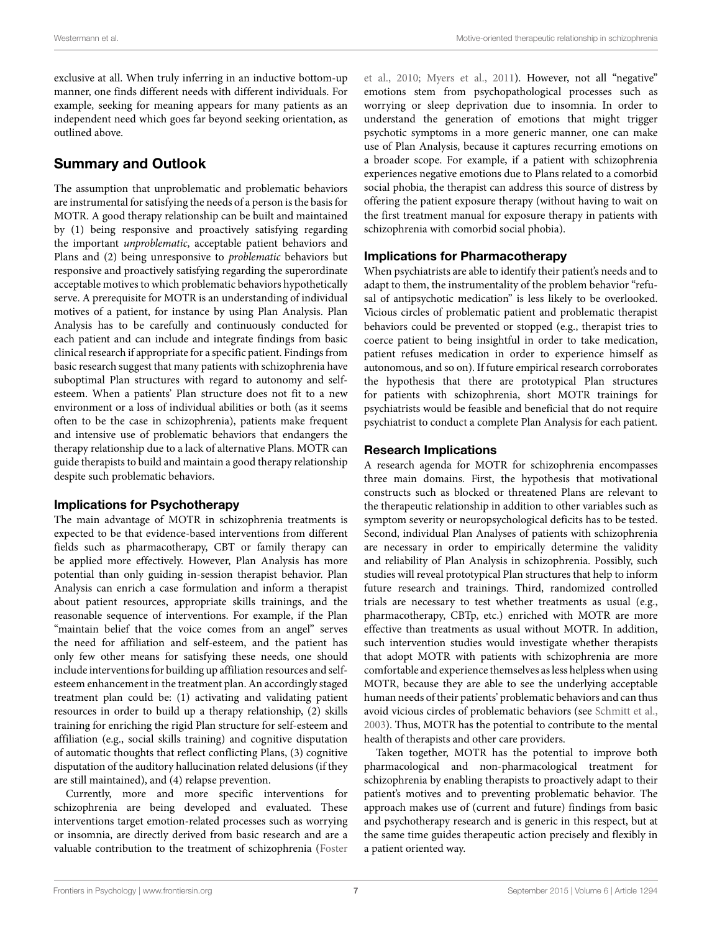exclusive at all. When truly inferring in an inductive bottom-up manner, one finds different needs with different individuals. For example, seeking for meaning appears for many patients as an independent need which goes far beyond seeking orientation, as outlined above.

# **Summary and Outlook**

The assumption that unproblematic and problematic behaviors are instrumental for satisfying the needs of a person is the basis for MOTR. A good therapy relationship can be built and maintained by (1) being responsive and proactively satisfying regarding the important *unproblematic*, acceptable patient behaviors and Plans and (2) being unresponsive to *problematic* behaviors but responsive and proactively satisfying regarding the superordinate acceptable motives to which problematic behaviors hypothetically serve. A prerequisite for MOTR is an understanding of individual motives of a patient, for instance by using Plan Analysis. Plan Analysis has to be carefully and continuously conducted for each patient and can include and integrate findings from basic clinical research if appropriate for a specific patient. Findings from basic research suggest that many patients with schizophrenia have suboptimal Plan structures with regard to autonomy and selfesteem. When a patients' Plan structure does not fit to a new environment or a loss of individual abilities or both (as it seems often to be the case in schizophrenia), patients make frequent and intensive use of problematic behaviors that endangers the therapy relationship due to a lack of alternative Plans. MOTR can guide therapists to build and maintain a good therapy relationship despite such problematic behaviors.

#### **Implications for Psychotherapy**

The main advantage of MOTR in schizophrenia treatments is expected to be that evidence-based interventions from different fields such as pharmacotherapy, CBT or family therapy can be applied more effectively. However, Plan Analysis has more potential than only guiding in-session therapist behavior. Plan Analysis can enrich a case formulation and inform a therapist about patient resources, appropriate skills trainings, and the reasonable sequence of interventions. For example, if the Plan "maintain belief that the voice comes from an angel" serves the need for affiliation and self-esteem, and the patient has only few other means for satisfying these needs, one should include interventions for building up affiliation resources and selfesteem enhancement in the treatment plan. An accordingly staged treatment plan could be: (1) activating and validating patient resources in order to build up a therapy relationship, (2) skills training for enriching the rigid Plan structure for self-esteem and affiliation (e.g., social skills training) and cognitive disputation of automatic thoughts that reflect conflicting Plans, (3) cognitive disputation of the auditory hallucination related delusions (if they are still maintained), and (4) relapse prevention.

Currently, more and more specific interventions for schizophrenia are being developed and evaluated. These interventions target emotion-related processes such as worrying or insomnia, are directly derived from basic research and are a valuable contribution to the treatment of schizophrenia [\(Foster](#page-7-35)

[et al.,](#page-7-35) [2010;](#page-7-35) [Myers et al.](#page-8-3), [2011](#page-8-3)). However, not all "negative" emotions stem from psychopathological processes such as worrying or sleep deprivation due to insomnia. In order to understand the generation of emotions that might trigger psychotic symptoms in a more generic manner, one can make use of Plan Analysis, because it captures recurring emotions on a broader scope. For example, if a patient with schizophrenia experiences negative emotions due to Plans related to a comorbid social phobia, the therapist can address this source of distress by offering the patient exposure therapy (without having to wait on the first treatment manual for exposure therapy in patients with schizophrenia with comorbid social phobia).

#### **Implications for Pharmacotherapy**

When psychiatrists are able to identify their patient's needs and to adapt to them, the instrumentality of the problem behavior "refusal of antipsychotic medication" is less likely to be overlooked. Vicious circles of problematic patient and problematic therapist behaviors could be prevented or stopped (e.g., therapist tries to coerce patient to being insightful in order to take medication, patient refuses medication in order to experience himself as autonomous, and so on). If future empirical research corroborates the hypothesis that there are prototypical Plan structures for patients with schizophrenia, short MOTR trainings for psychiatrists would be feasible and beneficial that do not require psychiatrist to conduct a complete Plan Analysis for each patient.

#### **Research Implications**

A research agenda for MOTR for schizophrenia encompasses three main domains. First, the hypothesis that motivational constructs such as blocked or threatened Plans are relevant to the therapeutic relationship in addition to other variables such as symptom severity or neuropsychological deficits has to be tested. Second, individual Plan Analyses of patients with schizophrenia are necessary in order to empirically determine the validity and reliability of Plan Analysis in schizophrenia. Possibly, such studies will reveal prototypical Plan structures that help to inform future research and trainings. Third, randomized controlled trials are necessary to test whether treatments as usual (e.g., pharmacotherapy, CBTp, etc.) enriched with MOTR are more effective than treatments as usual without MOTR. In addition, such intervention studies would investigate whether therapists that adopt MOTR with patients with schizophrenia are more comfortable and experience themselves as less helpless when using MOTR, because they are able to see the underlying acceptable human needs of their patients' problematic behaviors and can thus avoid vicious circles of problematic behaviors (see [Schmitt et al.](#page-8-24), [2003\)](#page-8-24). Thus, MOTR has the potential to contribute to the mental health of therapists and other care providers.

Taken together, MOTR has the potential to improve both pharmacological and non-pharmacological treatment for schizophrenia by enabling therapists to proactively adapt to their patient's motives and to preventing problematic behavior. The approach makes use of (current and future) findings from basic and psychotherapy research and is generic in this respect, but at the same time guides therapeutic action precisely and flexibly in a patient oriented way.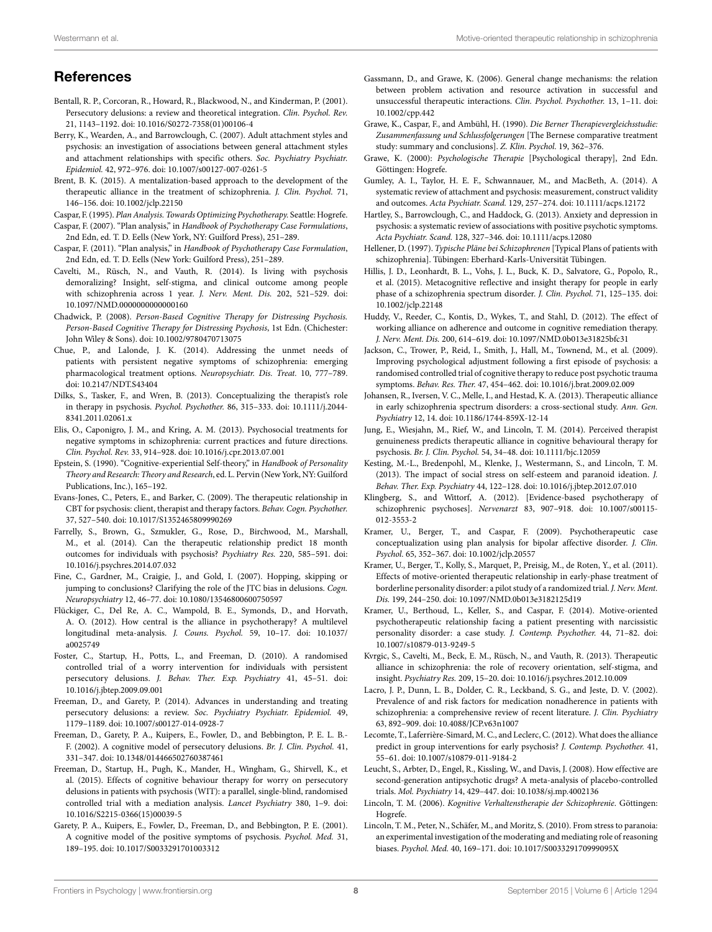## **References**

- <span id="page-7-8"></span>Bentall, R. P., Corcoran, R., Howard, R., Blackwood, N., and Kinderman, P. (2001). Persecutory delusions: a review and theoretical integration. *Clin. Psychol. Rev.* 21, 1143–1192. doi: 10.1016/S0272-7358(01)00106-4
- <span id="page-7-42"></span>Berry, K., Wearden, A., and Barrowclough, C. (2007). Adult attachment styles and psychosis: an investigation of associations between general attachment styles and attachment relationships with specific others. *Soc. Psychiatry Psychiatr. Epidemiol.* 42, 972–976. doi: 10.1007/s00127-007-0261-5
- <span id="page-7-19"></span>Brent, B. K. (2015). A mentalization-based approach to the development of the therapeutic alliance in the treatment of schizophrenia. *J. Clin. Psychol.* 71, 146–156. doi: 10.1002/jclp.22150
- <span id="page-7-27"></span>Caspar, F. (1995). *Plan Analysis. Towards Optimizing Psychotherapy.* Seattle: Hogrefe.
- <span id="page-7-28"></span>Caspar, F. (2007). "Plan analysis," in *Handbook of Psychotherapy Case Formulations*, 2nd Edn, ed. T. D. Eells (New York, NY: Guilford Press), 251–289.
- <span id="page-7-20"></span>Caspar, F. (2011). "Plan analysis," in *Handbook of Psychotherapy Case Formulation*, 2nd Edn, ed. T. D. Eells (New York: Guilford Press), 251–289.
- <span id="page-7-37"></span>Cavelti, M., Rüsch, N., and Vauth, R. (2014). Is living with psychosis demoralizing? Insight, self-stigma, and clinical outcome among people with schizophrenia across 1 year. *J. Nerv. Ment. Dis.* 202, 521–529. doi: 10.1097/NMD.0000000000000160
- <span id="page-7-17"></span>Chadwick, P. (2008). *Person-Based Cognitive Therapy for Distressing Psychosis. Person-Based Cognitive Therapy for Distressing Psychosis*, 1st Edn. (Chichester: John Wiley & Sons). doi: 10.1002/9780470713075
- <span id="page-7-26"></span>Chue, P., and Lalonde, J. K. (2014). Addressing the unmet needs of patients with persistent negative symptoms of schizophrenia: emerging pharmacological treatment options. *Neuropsychiatr. Dis. Treat.* 10, 777–789. doi: 10.2147/NDT.S43404
- <span id="page-7-12"></span>Dilks, S., Tasker, F., and Wren, B. (2013). Conceptualizing the therapist's role in therapy in psychosis. *Psychol. Psychother.* 86, 315–333. doi: 10.1111/j.2044- 8341.2011.02061.x
- <span id="page-7-25"></span>Elis, O., Caponigro, J. M., and Kring, A. M. (2013). Psychosocial treatments for negative symptoms in schizophrenia: current practices and future directions. *Clin. Psychol. Rev.* 33, 914–928. doi: 10.1016/j.cpr.2013.07.001
- <span id="page-7-30"></span>Epstein, S. (1990). "Cognitive-experiential Self-theory," in *Handbook of Personality Theory and Research: Theory and Research*, ed. L. Pervin (New York, NY: Guilford Publications, Inc.), 165–192.
- <span id="page-7-11"></span>Evans-Jones, C., Peters, E., and Barker, C. (2009). The therapeutic relationship in CBT for psychosis: client, therapist and therapy factors. *Behav. Cogn. Psychother.* 37, 527–540. doi: 10.1017/S1352465809990269
- <span id="page-7-6"></span>Farrelly, S., Brown, G., Szmukler, G., Rose, D., Birchwood, M., Marshall, M., et al. (2014). Can the therapeutic relationship predict 18 month outcomes for individuals with psychosis? *Psychiatry Res.* 220, 585–591. doi: 10.1016/j.psychres.2014.07.032
- <span id="page-7-32"></span>Fine, C., Gardner, M., Craigie, J., and Gold, I. (2007). Hopping, skipping or jumping to conclusions? Clarifying the role of the JTC bias in delusions. *Cogn. Neuropsychiatry* 12, 46–77. doi: 10.1080/13546800600750597
- <span id="page-7-4"></span>Flückiger, C., Del Re, A. C., Wampold, B. E., Symonds, D., and Horvath, A. O. (2012). How central is the alliance in psychotherapy? A multilevel longitudinal meta-analysis. *J. Couns. Psychol.* 59, 10–17. doi: 10.1037/ a0025749
- <span id="page-7-35"></span>Foster, C., Startup, H., Potts, L., and Freeman, D. (2010). A randomised controlled trial of a worry intervention for individuals with persistent persecutory delusions. *J. Behav. Ther. Exp. Psychiatry* 41, 45–51. doi: 10.1016/j.jbtep.2009.09.001
- <span id="page-7-1"></span>Freeman, D., and Garety, P. (2014). Advances in understanding and treating persecutory delusions: a review. *Soc. Psychiatry Psychiatr. Epidemiol.* 49, 1179–1189. doi: 10.1007/s00127-014-0928-7
- <span id="page-7-31"></span>Freeman, D., Garety, P. A., Kuipers, E., Fowler, D., and Bebbington, P. E. L. B.- F. (2002). A cognitive model of persecutory delusions. *Br. J. Clin. Psychol.* 41, 331–347. doi: 10.1348/014466502760387461
- <span id="page-7-3"></span>Freeman, D., Startup, H., Pugh, K., Mander, H., Wingham, G., Shirvell, K., et al. (2015). Effects of cognitive behaviour therapy for worry on persecutory delusions in patients with psychosis (WIT): a parallel, single-blind, randomised controlled trial with a mediation analysis. *Lancet Psychiatry* 380, 1–9. doi: 10.1016/S2215-0366(15)00039-5
- <span id="page-7-9"></span>Garety, P. A., Kuipers, E., Fowler, D., Freeman, D., and Bebbington, P. E. (2001). A cognitive model of the positive symptoms of psychosis. *Psychol. Med.* 31, 189–195. doi: 10.1017/S0033291701003312
- <span id="page-7-40"></span>Gassmann, D., and Grawe, K. (2006). General change mechanisms: the relation between problem activation and resource activation in successful and unsuccessful therapeutic interactions. *Clin. Psychol. Psychother.* 13, 1–11. doi: 10.1002/cpp.442
- <span id="page-7-24"></span>Grawe, K., Caspar, F., and Ambühl, H. (1990). *Die Berner Therapievergleichsstudie: Zusammenfassung und Schlussfolgerungen* [The Bernese comparative treatment study: summary and conclusions]. *Z. Klin. Psychol.* 19, 362–376.
- <span id="page-7-29"></span>Grawe, K. (2000): *Psychologische Therapie* [Psychological therapy], 2nd Edn. Göttingen: Hogrefe.
- <span id="page-7-41"></span>Gumley, A. I., Taylor, H. E. F., Schwannauer, M., and MacBeth, A. (2014). A systematic review of attachment and psychosis: measurement, construct validity and outcomes. *Acta Psychiatr. Scand.* 129, 257–274. doi: 10.1111/acps.12172
- <span id="page-7-33"></span>Hartley, S., Barrowclough, C., and Haddock, G. (2013). Anxiety and depression in psychosis: a systematic review of associations with positive psychotic symptoms. *Acta Psychiatr. Scand.* 128, 327–346. doi: 10.1111/acps.12080
- <span id="page-7-39"></span>Hellener, D. (1997). *Typische Pläne bei Schizophrenen* [Typical Plans of patients with schizophrenia]. Tübingen: Eberhard-Karls-Universität Tübingen.
- <span id="page-7-18"></span>Hillis, J. D., Leonhardt, B. L., Vohs, J. L., Buck, K. D., Salvatore, G., Popolo, R., et al. (2015). Metacognitive reflective and insight therapy for people in early phase of a schizophrenia spectrum disorder. *J. Clin. Psychol.* 71, 125–135. doi: 10.1002/jclp.22148
- <span id="page-7-5"></span>Huddy, V., Reeder, C., Kontis, D., Wykes, T., and Stahl, D. (2012). The effect of working alliance on adherence and outcome in cognitive remediation therapy. *J. Nerv. Ment. Dis.* 200, 614–619. doi: 10.1097/NMD.0b013e31825bfc31
- <span id="page-7-2"></span>Jackson, C., Trower, P., Reid, I., Smith, J., Hall, M., Townend, M., et al. (2009). Improving psychological adjustment following a first episode of psychosis: a randomised controlled trial of cognitive therapy to reduce post psychotic trauma symptoms. *Behav. Res. Ther.* 47, 454–462. doi: 10.1016/j.brat.2009.02.009
- <span id="page-7-13"></span>Johansen, R., Iversen, V. C., Melle, I., and Hestad, K. A. (2013). Therapeutic alliance in early schizophrenia spectrum disorders: a cross-sectional study. *Ann. Gen. Psychiatry* 12, 14. doi: 10.1186/1744-859X-12-14
- <span id="page-7-14"></span>Jung, E., Wiesjahn, M., Rief, W., and Lincoln, T. M. (2014). Perceived therapist genuineness predicts therapeutic alliance in cognitive behavioural therapy for psychosis. *Br. J. Clin. Psychol.* 54, 34–48. doi: 10.1111/bjc.12059
- <span id="page-7-36"></span>Kesting, M.-L., Bredenpohl, M., Klenke, J., Westermann, S., and Lincoln, T. M. (2013). The impact of social stress on self-esteem and paranoid ideation. *J. Behav. Ther. Exp. Psychiatry* 44, 122–128. doi: 10.1016/j.jbtep.2012.07.010
- <span id="page-7-15"></span>Klingberg, S., and Wittorf, A. (2012). [Evidence-based psychotherapy of schizophrenic psychoses]. *Nervenarzt* 83, 907–918. doi: 10.1007/s00115- 012-3553-2
- <span id="page-7-23"></span>Kramer, U., Berger, T., and Caspar, F. (2009). Psychotherapeutic case conceptualization using plan analysis for bipolar affective disorder. *J. Clin. Psychol.* 65, 352–367. doi: 10.1002/jclp.20557
- <span id="page-7-21"></span>Kramer, U., Berger, T., Kolly, S., Marquet, P., Preisig, M., de Roten, Y., et al. (2011). Effects of motive-oriented therapeutic relationship in early-phase treatment of borderline personality disorder: a pilot study of a randomized trial. *J. Nerv. Ment. Dis.* 199, 244–250. doi: 10.1097/NMD.0b013e3182125d19
- <span id="page-7-22"></span>Kramer, U., Berthoud, L., Keller, S., and Caspar, F. (2014). Motive-oriented psychotherapeutic relationship facing a patient presenting with narcissistic personality disorder: a case study. *J. Contemp. Psychother.* 44, 71–82. doi: 10.1007/s10879-013-9249-5
- <span id="page-7-10"></span>Kvrgic, S., Cavelti, M., Beck, E. M., Rüsch, N., and Vauth, R. (2013). Therapeutic alliance in schizophrenia: the role of recovery orientation, self-stigma, and insight. *Psychiatry Res.* 209, 15–20. doi: 10.1016/j.psychres.2012.10.009
- <span id="page-7-7"></span>Lacro, J. P., Dunn, L. B., Dolder, C. R., Leckband, S. G., and Jeste, D. V. (2002). Prevalence of and risk factors for medication nonadherence in patients with schizophrenia: a comprehensive review of recent literature. *J. Clin. Psychiatry* 63, 892–909. doi: 10.4088/JCP.v63n1007
- <span id="page-7-38"></span>Lecomte, T., Laferrière-Simard, M. C., and Leclerc, C. (2012). What does the alliance predict in group interventions for early psychosis? *J. Contemp. Psychother.* 41, 55–61. doi: 10.1007/s10879-011-9184-2
- <span id="page-7-0"></span>Leucht, S., Arbter, D., Engel, R., Kissling, W., and Davis, J. (2008). How effective are second-generation antipsychotic drugs? A meta-analysis of placebo-controlled trials. *Mol. Psychiatry* 14, 429–447. doi: 10.1038/sj.mp.4002136
- <span id="page-7-16"></span>Lincoln, T. M. (2006). *Kognitive Verhaltenstherapie der Schizophrenie*. Göttingen: Hogrefe.
- <span id="page-7-34"></span>Lincoln, T. M., Peter, N., Schäfer, M., and Moritz, S. (2010). From stress to paranoia: an experimental investigation of the moderating and mediating role of reasoning biases. *Psychol. Med.* 40, 169–171. doi: 10.1017/S003329170999095X